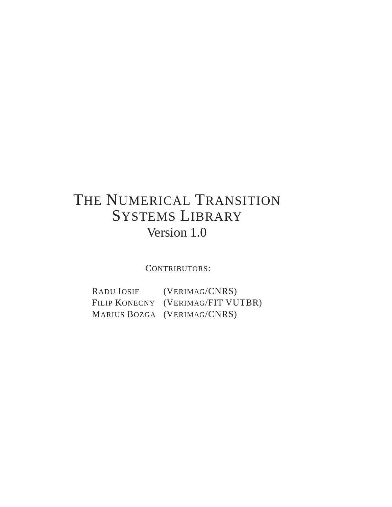# THE NUMERICAL TRANSITION SYSTEMS LIBRARY Version 1.0

CONTRIBUTORS:

RADU IOSIF (VERIMAG/CNRS) FILIP KONECNY (VERIMAG/FIT VUTBR) MARIUS BOZGA (VERIMAG/CNRS)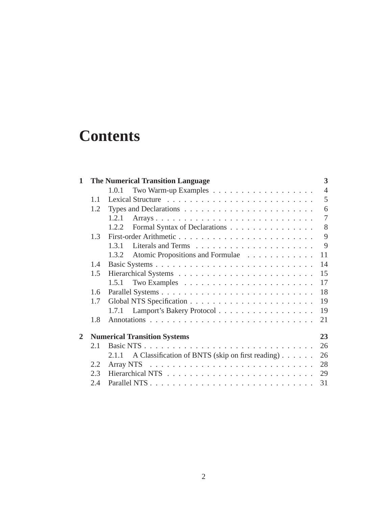# **Contents**

| $\mathbf{1}$   | 3<br><b>The Numerical Transition Language</b>                                  |                                                           |                |  |  |  |
|----------------|--------------------------------------------------------------------------------|-----------------------------------------------------------|----------------|--|--|--|
|                |                                                                                | 1.0.1                                                     | $\overline{4}$ |  |  |  |
|                | 1.1                                                                            |                                                           | 5              |  |  |  |
|                | Types and Declarations $\dots \dots \dots \dots \dots \dots \dots \dots \dots$ | 6                                                         |                |  |  |  |
|                |                                                                                | Arrays<br>1.2.1                                           | $\overline{7}$ |  |  |  |
|                |                                                                                | Formal Syntax of Declarations<br>1.2.2                    | 8              |  |  |  |
|                | 1.3                                                                            |                                                           | 9              |  |  |  |
|                |                                                                                | 1.3.1                                                     | 9              |  |  |  |
|                |                                                                                | Atomic Propositions and Formulae<br>1.3.2                 | 11             |  |  |  |
|                | 1.4                                                                            |                                                           | 14             |  |  |  |
|                | 1.5                                                                            |                                                           | 15             |  |  |  |
|                |                                                                                |                                                           | 17             |  |  |  |
|                | 1.6                                                                            |                                                           | 18             |  |  |  |
|                | 1.7                                                                            |                                                           |                |  |  |  |
|                |                                                                                | Lamport's Bakery Protocol<br>1.7.1                        | 19             |  |  |  |
|                | 1.8                                                                            |                                                           | 21             |  |  |  |
| $\overline{2}$ |                                                                                | <b>Numerical Transition Systems</b>                       | 23             |  |  |  |
|                | 2.1                                                                            |                                                           | 26             |  |  |  |
|                |                                                                                | A Classification of BNTS (skip on first reading)<br>2.1.1 | 26             |  |  |  |
|                | 2.2                                                                            |                                                           | 28             |  |  |  |
|                | 2.3                                                                            |                                                           | 29             |  |  |  |
|                | 2.4                                                                            |                                                           | 31             |  |  |  |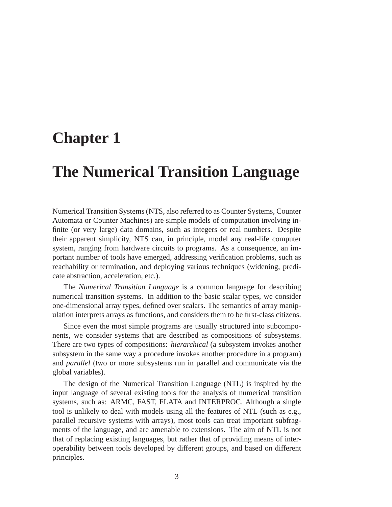# **Chapter 1**

# **The Numerical Transition Language**

Numerical Transition Systems (NTS, also referred to as Counter Systems, Counter Automata or Counter Machines) are simple models of computation involving infinite (or very large) data domains, such as integers or real numbers. Despite their apparent simplicity, NTS can, in principle, model any real-life computer system, ranging from hardware circuits to programs. As a consequence, an important number of tools have emerged, addressing verification problems, such as reachability or termination, and deploying various techniques (widening, predicate abstraction, acceleration, etc.).

The *Numerical Transition Language* is a common language for describing numerical transition systems. In addition to the basic scalar types, we consider one-dimensional array types, defined over scalars. The semantics of array manipulation interprets arrays as functions, and considers them to be first-class citizens.

Since even the most simple programs are usually structured into subcomponents, we consider systems that are described as compositions of subsystems. There are two types of compositions: *hierarchical* (a subsystem invokes another subsystem in the same way a procedure invokes another procedure in a program) and *parallel* (two or more subsystems run in parallel and communicate via the global variables).

The design of the Numerical Transition Language (NTL) is inspired by the input language of several existing tools for the analysis of numerical transition systems, such as: ARMC, FAST, FLATA and INTERPROC. Although a single tool is unlikely to deal with models using all the features of NTL (such as e.g., parallel recursive systems with arrays), most tools can treat important subfragments of the language, and are amenable to extensions. The aim of NTL is not that of replacing existing languages, but rather that of providing means of interoperability between tools developed by different groups, and based on different principles.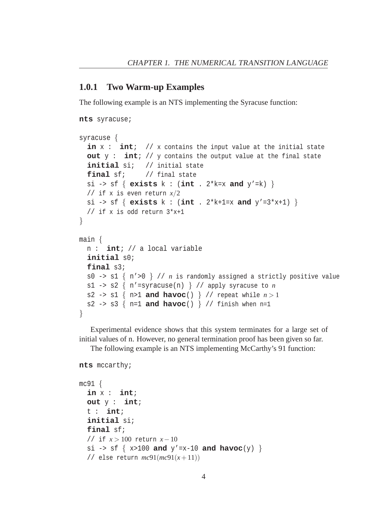#### **1.0.1 Two Warm-up Examples**

The following example is an NTS implementing the Syracuse function:

```
nts syracuse;
syracuse {
  in x : int; // x contains the input value at the initial state
  out y : int; // y contains the output value at the final state
  initial si; // initial state
  final sf; // final state
  si -> sf { exists k : (int . 2*k=x and y'=k) }
  // if x is even return x/2
  si -> sf { exists k : (int . 2*k+1=x and y'=3*x+1) }
  // if x is odd return 3*x+1
}
main {
  n : int; // a local variable
  initial s0;
  final s3;
  s0 -> s1 { n'>0 } // n is randomly assigned a strictly positive value
  s1 -> s2 \{ n' = syracuse(n) \} // apply syracuse to n
  s2 -> s1 { n>1 and havoc() } // repeat while n>1s2 -> s3 \{ n=1 and havoc() \} // finish when n=1
}
```
Experimental evidence shows that this system terminates for a large set of initial values of n. However, no general termination proof has been given so far.

The following example is an NTS implementing McCarthy's 91 function:

```
nts mccarthy;
```

```
mc91 {
  in x : int;
  out y : int;
  t : int;
  initial si;
  final sf;
  // if x > 100 return x−10
  si \rightarrow sf \{ x>100 \text{ and } y'=x-10 \text{ and } havoc(y) \}// else return mc91(mc91(x+11))
```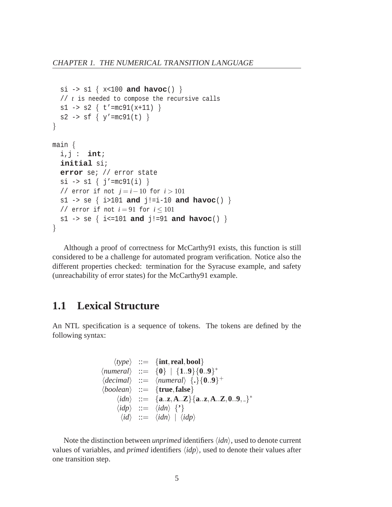```
si -> s1 { x<100 and havoc() }
  // t is needed to compose the recursive calls
  s1 -> s2 \{ t' = mc91(x+11) \}s2 -> sf \{ y' = mc91(t) \}}
main {
  i,j : int;
  initial si;
  error se; // error state
  si \rightarrow sl { j' = mc91(i) }
  // error if not j = i−10 for i > 101
  s1 -> se { i>101 and j!=i-10 and havoc() }
  // error if not i = 91 for i \le 101s1 -> se { i<=101 and j!=91 and havoc() }
}
```
Although a proof of correctness for McCarthy91 exists, this function is still considered to be a challenge for automated program verification. Notice also the different properties checked: termination for the Syracuse example, and safety (unreachability of error states) for the McCarthy91 example.

# **1.1 Lexical Structure**

An NTL specification is a sequence of tokens. The tokens are defined by the following syntax:

```
\langle type \rangle ::= {int, real, bool}
\langlenumeral\rangle ::= {0} | {1..9}{0..9}<sup>*</sup>
\langle decimal \rangle ::= \langle numeral \rangle \{.\}{0..9}<sup>+</sup>
\langle boolean \rangle ::= \{ true, false \}\langle idn \rangle ::= {a..z,A..Z}{a..z,A..Z,0..9, }<sup>*</sup>
        \langle idp \rangle ::= \langle idn \rangle {'}
          \langle id \rangle ::= \langle idn \rangle | \langle idp \rangle
```
Note the distinction between *unprimed* identifiers  $\langle idn \rangle$ , used to denote current values of variables, and *primed* identifiers  $\langle idp \rangle$ , used to denote their values after one transition step.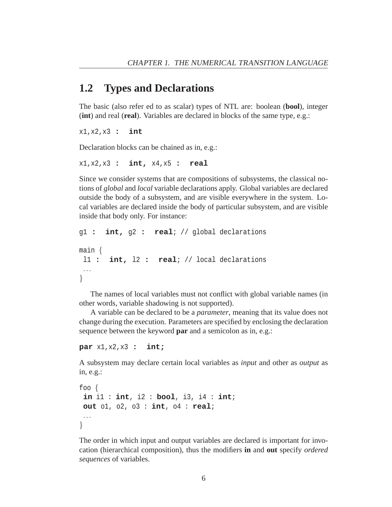### **1.2 Types and Declarations**

The basic (also refer ed to as scalar) types of NTL are: boolean (**bool**), integer (**int**) and real (**real**). Variables are declared in blocks of the same type, e.g.:

x1,x2,x3 **: int**

Declaration blocks can be chained as in, e.g.:

```
x1,x2,x3 : int, x4,x5 : real
```
Since we consider systems that are compositions of subsystems, the classical notions of *global* and *local* variable declarations apply. Global variables are declared outside the body of a subsystem, and are visible everywhere in the system. Local variables are declared inside the body of particular subsystem, and are visible inside that body only. For instance:

```
g1 : int, g2 : real; // global declarations
main {
 l1 : int, l2 : real; // local declarations
 ...
}
```
The names of local variables must not conflict with global variable names (in other words, variable shadowing is not supported).

A variable can be declared to be a *parameter*, meaning that its value does not change during the execution. Parameters are specified by enclosing the declaration sequence between the keyword **par** and a semicolon as in, e.g.:

```
par x1,x2,x3 : int;
```
A subsystem may declare certain local variables as *input* and other as *output* as in, e.g.:

```
foo {
 in i1 : int, i2 : bool, i3, i4 : int;
out o1, o2, o3 : int, o4 : real;
...
}
```
The order in which input and output variables are declared is important for invocation (hierarchical composition), thus the modifiers **in** and **out** specify *ordered sequences* of variables.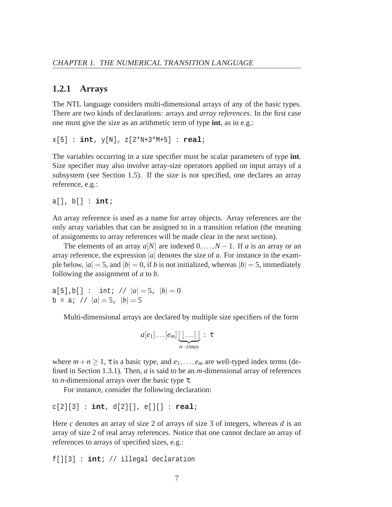#### **1.2.1 Arrays**

The NTL language considers multi-dimensional arrays of any of the basic types. There are two kinds of declarations: arrays and *array references*. In the first case one must give the size as an arithmetic term of type **int**, as in e.g.:

x[5] : **int**, y[N], z[2\*N+3\*M+5] : **real**;

The variables occurring in a size specifier must be scalar parameters of type **int**. Size specifier may also involve array-size operators applied on input arrays of a subsystem (see Section 1.5). If the size is not specified, one declares an array reference, e.g.:

a[], b[] : **int**;

An array reference is used as a name for array objects. Array references are the only array variables that can be assigned to in a transition relation (the meaning of assignments to array references will be made clear in the next section).

The elements of an array  $a[N]$  are indexed  $0, \ldots, N-1$ . If *a* is an array or an array reference, the expression |*a*| denotes the size of *a*. For instance in the example below,  $|a| = 5$ , and  $|b| = 0$ , if *b* is not initialized, whereas  $|b| = 5$ , immediately following the assignment of *a* to *b*.

a[5], b[] : int; //  $|a| = 5$ ,  $|b| = 0$  $b = ai$  //  $|a| = 5$ ,  $|b| = 5$ 

Multi-dimensional arrays are declared by multiple size specifiers of the form

$$
a[e_1]\dots[e_m]\underbrace{[\dots[\dots]}_{n-times}:\tau
$$

where  $m+n \geq 1$ ,  $\tau$  is a basic type, and  $e_1, \ldots, e_m$  are well-typed index terms (defined in Section 1.3.1). Then, *a* is said to be an *m*-dimensional array of references to *n*-dimensional arrays over the basic type τ.

For instance, consider the following declaration:

c[2][3] : **int**, d[2][], e[][] : **real**;

Here *c* denotes an array of size 2 of arrays of size 3 of integers, whereas *d* is an array of size 2 of real array references. Notice that one cannot declare an array of references to arrays of specified sizes, e.g.:

f[][3] : **int**; // illegal declaration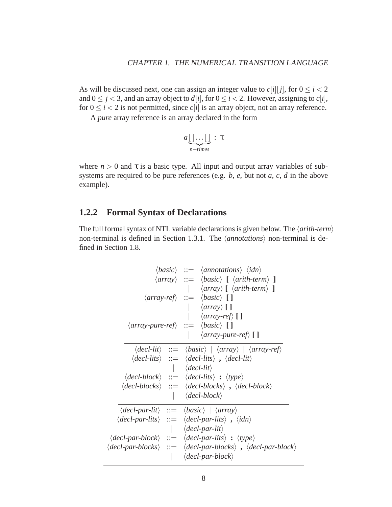As will be discussed next, one can assign an integer value to  $c[i][j]$ , for  $0 \le i < 2$ and  $0 \leq j < 3$ , and an array object to  $d[i]$ , for  $0 \leq i < 2$ . However, assigning to  $c[i]$ , for  $0 \le i \le 2$  is not permitted, since  $c[i]$  is an array object, not an array reference.

A *pure* array reference is an array declared in the form

$$
a\underbrace{[\,\cdot\ldots[\,\,]}_{n-times}:\tau
$$

where  $n > 0$  and  $\tau$  is a basic type. All input and output array variables of subsystems are required to be pure references (e.g. *b*, *e*, but not *a*, *c*, *d* in the above example).

#### **1.2.2 Formal Syntax of Declarations**

The full formal syntax of NTL variable declarations is given below. The  $\langle$  *arith-term* $\rangle$ non-terminal is defined in Section 1.3.1. The  $\langle{}annotations\rangle$  non-terminal is defined in Section 1.8.

|                                                                                             | $\langle basic \rangle ::= \langle annotations \rangle \langle idn \rangle$                                                                     |
|---------------------------------------------------------------------------------------------|-------------------------------------------------------------------------------------------------------------------------------------------------|
|                                                                                             | $\langle array \rangle ::= \langle basic \rangle$ [ $\langle arithmetic \rangle$ ]                                                              |
|                                                                                             | $\vert \quad \langle array \rangle$ [ $\langle arith-term \rangle$ ]                                                                            |
|                                                                                             | $\langle array\text{-}ref \rangle ::= \langle basic \rangle [ ]$                                                                                |
|                                                                                             | $\langle array \rangle$ [ ]                                                                                                                     |
|                                                                                             | $\langle array-ref \rangle$ []                                                                                                                  |
|                                                                                             | $\langle array-pure-ref \rangle ::= \langle basic \rangle$ []                                                                                   |
|                                                                                             | $\langle array\text{-}pure\text{-}ref \rangle$ []                                                                                               |
|                                                                                             | $\langle decl-lit \rangle ::= \langle basic \rangle   \langle array \rangle   \langle array-ref \rangle$                                        |
|                                                                                             | $\langle decl-lits \rangle \ ::= \langle decl-lits \rangle$ , $\langle decl-lit \rangle$                                                        |
|                                                                                             | $\langle dec l \cdot lit \rangle$                                                                                                               |
|                                                                                             | $\langle decl-block \rangle ::= \langle decl-lists \rangle : \langle type \rangle$                                                              |
|                                                                                             | $\langle decl\text{-}blocks\rangle \ ::= \langle decl\text{-}blocks\rangle$ , $\langle decl\text{-}block\rangle$                                |
|                                                                                             | $\langle$ decl-block $\rangle$                                                                                                                  |
| $\langle decl\text{-}par\text{-}lit\rangle ::= \langle basic\rangle   \langle array\rangle$ |                                                                                                                                                 |
|                                                                                             | $\langle decl-par-lits \rangle ::= \langle decl-par-lits \rangle$ , $\langle idn \rangle$                                                       |
|                                                                                             | $\langle decl\text{-}par\text{-}lit\rangle$                                                                                                     |
|                                                                                             | $\langle decl-par-block \rangle ::= \langle decl-par-list \rangle : \langle type \rangle$                                                       |
|                                                                                             | $\langle decl\text{-}par\text{-}blocks\rangle ::= \langle decl\text{-}par\text{-}blocks\rangle$ , $\langle decl\text{-}par\text{-}block\rangle$ |
|                                                                                             | $\langle$ decl-par-block $\rangle$                                                                                                              |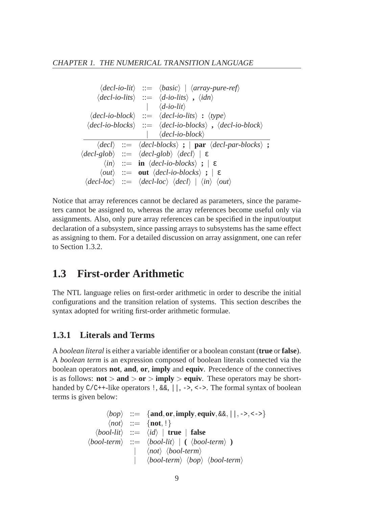|  | $\langle decl-io-lit \rangle ::= \langle basic \rangle   \langle array-pure-ref \rangle$                                               |  |
|--|----------------------------------------------------------------------------------------------------------------------------------------|--|
|  | $\langle decl-io-lits \rangle ::= \langle d-io-lits \rangle$ , $\langle idn \rangle$                                                   |  |
|  | $\vert \langle d\text{-}io\text{-}lit\rangle$                                                                                          |  |
|  | $\langle decl-io-block \rangle ::= \langle decl-io-lists \rangle : \langle type \rangle$                                               |  |
|  | $\langle decl-io-blocks \rangle ::= \langle decl-io-blocks \rangle$ , $\langle decl-io-block \rangle$                                  |  |
|  | $\vert \quad \langle decl\text{-}i\text{o-block}\rangle$                                                                               |  |
|  | $\langle decl \rangle ::= \langle decl-blocks \rangle ;   par \langle decl-par-blocks \rangle ;$                                       |  |
|  | $\langle decl-glob \rangle ::= \langle decl-glob \rangle \langle decl \rangle \mid \varepsilon$                                        |  |
|  | $\langle in \rangle$ ::= in $\langle decl-io-blocks \rangle$ ; $\in$                                                                   |  |
|  | $\langle out \rangle$ ::= out $\langle decl-io-blocks \rangle$ ; $\in$                                                                 |  |
|  | $\langle decl\text{-}loc\rangle \ ::= \langle decl\text{-}loc\rangle \langle decl\rangle \   \ \langle in\rangle \ \langle out\rangle$ |  |

Notice that array references cannot be declared as parameters, since the parameters cannot be assigned to, whereas the array references become useful only via assignments. Also, only pure array references can be specified in the input/output declaration of a subsystem, since passing arrays to subsystems has the same effect as assigning to them. For a detailed discussion on array assignment, one can refer to Section 1.3.2.

# **1.3 First-order Arithmetic**

The NTL language relies on first-order arithmetic in order to describe the initial configurations and the transition relation of systems. This section describes the syntax adopted for writing first-order arithmetic formulae.

#### **1.3.1 Literals and Terms**

A *boolean literal* is either a variable identifier or a boolean constant (**true** or **false**). A *boolean term* is an expression composed of boolean literals connected via the boolean operators **not**, **and**, **or**, **imply** and **equiv**. Precedence of the connectives is as follows:  $\text{not} > \text{and} > \text{or} > \text{imply} > \text{equiv}$ . These operators may be shorthanded by  $C/C++-like$  operators  $\vert \cdot, \&\&\vert \cdot, \cdot\vert$ , ->, <->. The formal syntax of boolean terms is given below:

$$
\begin{array}{rcl}\langle bop\rangle & ::= & \{\textbf{and}, \textbf{or}, \textbf{imply}, \textbf{equiv}, \& \& \& , ||\,, \texttt{--}>, \texttt{--}>\} \\
\langle not\rangle & ::= & \{\textbf{not}, !\} \\
\langle bool\text{-}lit\rangle & ::= & \langle id\rangle \mid \textbf{true} \mid \textbf{false} \\
\langle bool\text{-}term\rangle & ::= & \langle bool\text{-}lit\rangle \mid (\langle bool\text{-}term\rangle) \\
 & & | & \langle not\rangle \langle bool\text{-}term\rangle \\
 & & | & \langle bool\text{-}term\rangle \langle loop\rangle \langle bool\text{-}term\rangle\n\end{array}
$$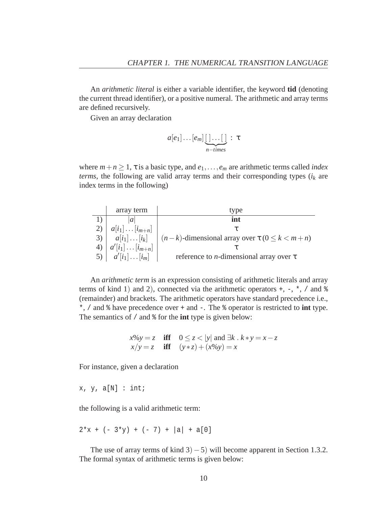An *arithmetic literal* is either a variable identifier, the keyword **tid** (denoting the current thread identifier), or a positive numeral. The arithmetic and array terms are defined recursively.

Given an array declaration

$$
a[e_1]\dots[e_m]\underbrace{[\,\cdot\,]\dots[\,\cdot]}_{n-times}:\,\tau
$$

where  $m+n \geq 1$ ,  $\tau$  is a basic type, and  $e_1, \ldots, e_m$  are arithmetic terms called *index terms*, the following are valid array terms and their corresponding types (*i<sup>k</sup>* are index terms in the following)

|    | array term                | type                                                                          |
|----|---------------------------|-------------------------------------------------------------------------------|
|    | a                         | int                                                                           |
|    | $a[i_1] \dots [i_{m+n}]$  |                                                                               |
| 3) |                           | $a[i_1] \dots [i_k]$ $(n-k)$ -dimensional array over $\tau$ $(0 \le k < m+n)$ |
|    | $a'[i_1] \dots [i_{m+n}]$ |                                                                               |
|    | $a'[i_1] \dots [i_m]$     | reference to <i>n</i> -dimensional array over $\tau$                          |

An *arithmetic term* is an expression consisting of arithmetic literals and array terms of kind 1) and 2), connected via the arithmetic operators  $+, -, *,$  / and  $\ast$ (remainder) and brackets. The arithmetic operators have standard precedence i.e., \*, / and % have precedence over + and -. The % operator is restricted to **int** type. The semantics of / and % for the **int** type is given below:

$$
x\%y = z \quad \text{iff} \quad 0 \le z < |y| \text{ and } \exists k \, . \, k*y = x-z
$$
\n
$$
x/y = z \quad \text{iff} \quad (y*z) + (x\%y) = x
$$

For instance, given a declaration

 $x, y, a[N] : int;$ 

the following is a valid arithmetic term:

$$
2*x + (-3*y) + (-7) + |a| + a[0]
$$

The use of array terms of kind  $3$ ) − 5) will become apparent in Section 1.3.2. The formal syntax of arithmetic terms is given below: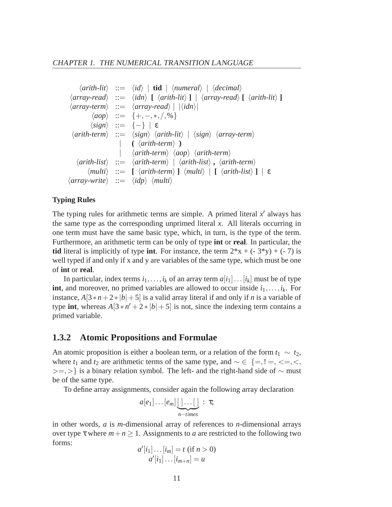```
\langlearith-lit\rangle ::= \langle id \rangle | tid | \langlenumeral\rangle | \langledecimal\rangle\langle array-read \rangle ::= \langle idn \rangle [ \langle arith-lit \rangle ] \langle array-read \rangle [ \langle arith-lit \rangle ]
 \langle array-term \rangle ::= \langle array-read \rangle | |\langle idn \rangle|haopi ::= {+,−,∗, /,%}
             \langle sign \rangle ::= {-} | ε
  \langlearith-term\rangle ::= \langlesign\rangle \langlearith-lit\rangle | \langlesign\rangle \langlearray-term\rangle\left(\langle \text{arith-term} \rangle\right)| harith-termi haopi harith-termi
     \langlearith-list\rangle ::= \langlearith-term\rangle | \langlearith-list\rangle, \langlearith-term\rangle\langle multi \rangle ::= \left[ \langle arith-term \rangle \right] \langle multi \rangle \left[ \langle arith-list \rangle \right] \left[ \varepsilon \right]\langle array-write \rangle ::= \langle idp \rangle \langle multi \rangle
```
#### **Typing Rules**

The typing rules for arithmetic terms are simple. A primed literal  $x'$  always has the same type as the corresponding unprimed literal *x*. All literals occurring in one term must have the same basic type, which, in turn, is the type of the term. Furthermore, an arithmetic term can be only of type **int** or **real**. In particular, the **tid** literal is implicitly of type **int**. For instance, the term  $2*x + (-3*y) + (-7)$  is well typed if and only if x and y are variables of the same type, which must be one of **int** or **real**.

In particular, index terms  $i_1, \ldots, i_k$  of an array term  $a[i_1] \ldots [i_k]$  must be of type **int**, and moreover, no primed variables are allowed to occur inside  $i_1, \ldots, i_k$ . For instance,  $A[3*n+2*|b|+5]$  is a valid array literal if and only if *n* is a variable of type **int**, whereas  $A[3 * n' + 2 * |b| + 5]$  is not, since the indexing term contains a primed variable.

#### **1.3.2 Atomic Propositions and Formulae**

An atomic proposition is either a boolean term, or a relation of the form  $t_1 \sim t_2$ , where  $t_1$  and  $t_2$  are arithmetic terms of the same type, and  $\sim \epsilon \ \{ =, !=, <=, <, \}$ >=, > is a binary relation symbol. The left- and the right-hand side of  $\sim$  must be of the same type.

To define array assignments, consider again the following array declaration

$$
a[e_1]\dots[e_m]\underbrace{[\,\cdot\,]\dots[\,\cdot]}_{n-times}:\tau;
$$

in other words, *a* is *m*-dimensional array of references to *n*-dimensional arrays over type  $\tau$  where  $m + n \geq 1$ . Assignments to *a* are restricted to the following two forms:

$$
a'[i_1] \dots [i_m] = t \text{ (if } n > 0)
$$

$$
a'[i_1] \dots [i_{m+n}] = u
$$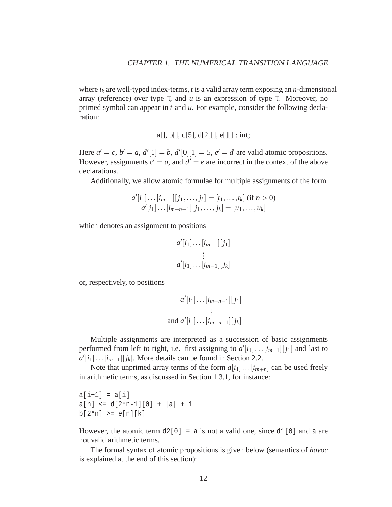where  $i_k$  are well-typed index-terms,  $t$  is a valid array term exposing an  $n$ -dimensional array (reference) over type τ, and *u* is an expression of type τ. Moreover, no primed symbol can appear in *t* and *u*. For example, consider the following declaration:

a[], b[], c[5], d[2][], e[][] : **int**;

Here  $a' = c$ ,  $b' = a$ ,  $d'[1] = b$ ,  $d'[0][1] = 5$ ,  $e' = d$  are valid atomic propositions. However, assignments  $c' = a$ , and  $d' = e$  are incorrect in the context of the above declarations.

Additionally, we allow atomic formulae for multiple assignments of the form

$$
a'[i_1] \dots [i_{m-1}][j_1, \dots, j_k] = [t_1, \dots, t_k] \text{ (if } n > 0)
$$
  

$$
a'[i_1] \dots [i_{m+n-1}][j_1, \dots, j_k] = [u_1, \dots, u_k]
$$

which denotes an assignment to positions

$$
a'[i_1] \dots [i_{m-1}][j_1]
$$

$$
\vdots
$$

$$
a'[i_1] \dots [i_{m-1}][j_k]
$$

or, respectively, to positions

$$
a'[i_1] \dots [i_{m+n-1}][j_1]
$$
  
\n
$$
\vdots
$$
  
\nand 
$$
a'[i_1] \dots [i_{m+n-1}][j_k]
$$

Multiple assignments are interpreted as a succession of basic assignments performed from left to right, i.e. first assigning to  $a'[i_1] \dots [i_{m-1}][j_1]$  and last to  $a'[i_1] \dots [i_{m-1}][j_k]$ . More details can be found in Section 2.2.

Note that unprimed array terms of the form  $a[i_1] \dots [i_{m+n}]$  can be used freely in arithmetic terms, as discussed in Section 1.3.1, for instance:

 $a[i+1] = a[i]$  $a[n] \leq d[2*n-1][0] + |a| + 1$  $b[2*n] \geq e[n][k]$ 

However, the atomic term  $d2[0] = a$  is not a valid one, since  $d1[0]$  and a are not valid arithmetic terms.

The formal syntax of atomic propositions is given below (semantics of *havoc* is explained at the end of this section):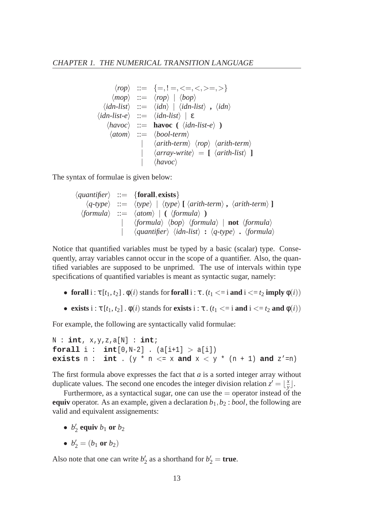$$
\langle rop \rangle ::= \{=, !=, <=, <, >=, > \}
$$
\n
$$
\langle mop \rangle ::= \langle rop \rangle \mid \langle bop \rangle
$$
\n
$$
\langle idn-lists \rangle ::= \langle idn \rangle \mid \langle idn-lists \rangle , \langle idn \rangle
$$
\n
$$
\langle idn-list \rangle ::= \langle idn-lists \rangle \mid \epsilon
$$
\n
$$
\langle havoc \rangle ::= \mathbf{havoc} (\langle idn-list \rangle)
$$
\n
$$
\langle atom \rangle ::= \langle bool-term \rangle
$$
\n
$$
\langle arrav \rangle \langle vop \rangle \langle arith-term \rangle
$$
\n
$$
\langle array-write \rangle = [\langle arith-list \rangle]
$$
\n
$$
\langle havoc \rangle
$$

The syntax of formulae is given below:

 $\langle$ *quantifier* $\rangle$  ::= {**forall**, **exists**}  $\langle q\text{-type}\rangle$  ::=  $\langle \text{type}\rangle$  |  $\langle \text{type}\rangle$  **[**  $\langle \text{arith-term}\rangle$  ,  $\langle \text{arith-term}\rangle$  **]**  $\langle formula \rangle$  ::=  $\langle atom \rangle$  | **(**  $\langle formula \rangle$  **)** |  $\langle \text{formula} \rangle$   $\langle \text{bop} \rangle$   $\langle \text{formula} \rangle$  | **not**  $\langle \text{formula} \rangle$ | h*quantifier*i h*idn-list*i **:** h*q-type*i **.** h*formula*i

Notice that quantified variables must be typed by a basic (scalar) type. Consequently, array variables cannot occur in the scope of a quantifier. Also, the quantified variables are supposed to be unprimed. The use of intervals within type specifications of quantified variables is meant as syntactic sugar, namely:

- **forall**  $i : \tau[t_1, t_2] \cdot \phi(i)$  stands for **forall**  $i : \tau \cdot (t_1 \leq i \text{ and } i \leq t_2 \text{ imply } \phi(i))$
- **exists**  $i : \tau [t_1, t_2] \cdot \phi(i)$  stands for **exists**  $i : \tau \cdot (t_1 \le i$  **and**  $i \le t_2$  **and**  $\phi(i)$

For example, the following are syntactically valid formulae:

N : **int**, x,y,z,a[N] : **int**; **forall**  $i : int[0,N-2]$  .  $(a[i+1] > a[i])$ **exists**  $n : int : (y * n <= x and x < y * (n + 1) and z' = n)$ 

The first formula above expresses the fact that *a* is a sorted integer array without duplicate values. The second one encodes the integer division relation  $z' = \frac{x}{y}$  $\frac{x}{y}$ .

Furthermore, as a syntactical sugar, one can use the  $=$  operator instead of the **equiv** operator. As an example, given a declaration *b*1,*b*<sup>2</sup> : *bool*, the following are valid and equivalent assignements:

- $b'_2$  equiv  $b_1$  or  $b_2$
- $b'_2 = (b_1 \text{ or } b_2)$

Also note that one can write  $b'_2$  as a shorthand for  $b'_2$  = **true**.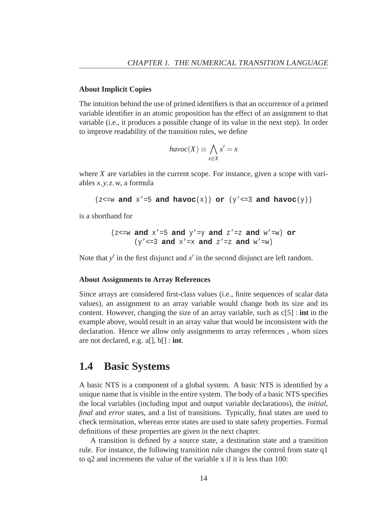#### **About Implicit Copies**

The intuition behind the use of primed identifiers is that an occurrence of a primed variable identifier in an atomic proposition has the effect of an assignment to that variable (i.e., it produces a possible change of its value in the next step). In order to improve readability of the transition rules, we define

$$
havoc(X) \equiv \bigwedge_{x \notin X} x' = x
$$

where *X* are variables in the current scope. For instance, given a scope with variables *x*, *y*,*z*,*w*, a formula

```
(z \le w \text{ and } x' = 5 \text{ and } \text{havoc}(x)) \text{ or } (y' \le 3 \text{ and } \text{havoc}(y))
```
is a shorthand for

(
$$
z
$$
<>=w and  $x'$ =5 and  $y'$ =y and  $z'$ =z and  $w'$ =w) or  
( $y'$ <>=3 and  $x'$ =x and  $z'$ =z and  $w'$ =w)

Note that  $y'$  in the first disjunct and  $x'$  in the second disjunct are left random.

#### **About Assignments to Array References**

Since arrays are considered first-class values (i.e., finite sequences of scalar data values), an assignment to an array variable would change both its size and its content. However, changing the size of an array variable, such as c[5] : **int** in the example above, would result in an array value that would be inconsistent with the declaration. Hence we allow only assignments to array references , whom sizes are not declared, e.g. a[], b[] : **int**.

### **1.4 Basic Systems**

A basic NTS is a component of a global system. A basic NTS is identified by a unique name that is visible in the entire system. The body of a basic NTS specifies the local variables (including input and output variable declarations), the *initial*, *final* and *error* states, and a list of transitions. Typically, final states are used to check termination, whereas error states are used to state safety properties. Formal definitions of these properties are given in the next chapter.

A transition is defined by a source state, a destination state and a transition rule. For instance, the following transition rule changes the control from state q1 to q2 and increments the value of the variable x if it is less than 100: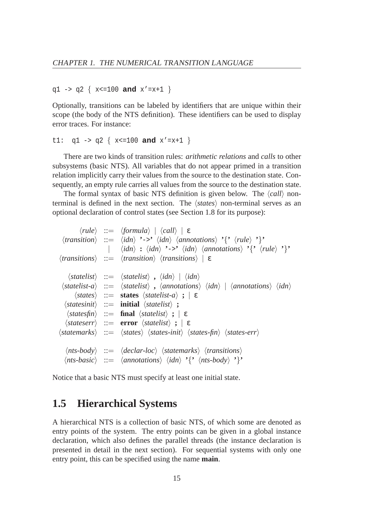```
q1 -> q2 { x<=100 and x'=x+1 }
```
Optionally, transitions can be labeled by identifiers that are unique within their scope (the body of the NTS definition). These identifiers can be used to display error traces. For instance:

```
t1: q1 - > q2 { x < = 100 and x' = x + 1 }
```
There are two kinds of transition rules: *arithmetic relations* and *calls* to other subsystems (basic NTS). All variables that do not appear primed in a transition relation implicitly carry their values from the source to the destination state. Consequently, an empty rule carries all values from the source to the destination state.

The formal syntax of basic NTS definition is given below. The  $\langle call \rangle$  nonterminal is defined in the next section. The *states* non-terminal serves as an optional declaration of control states (see Section 1.8 for its purpose):

 $\langle rule \rangle$  ::=  $\langle formula \rangle | \langle call \rangle | \varepsilon$  $\langle$ *transition* $\rangle$  ::=  $\langle idn \rangle$   $\langle$ ->'  $\langle idn \rangle$   $\langle$ *annotations* $\rangle$  '{'  $\langle rule \rangle$  '}'  $\vert$   $\langle idn \rangle$  **:**  $\langle idn \rangle$  **'**->**'**  $\langle idn \rangle$   $\langle annotations \rangle$  **'**{**'**  $\langle rule \rangle$  **'**}' h*transitions*i ::= h*transition*i h*transitions*i | ε  $\langle$ *statelist* $\rangle$  ::=  $\langle$ *statelist* $\rangle$ *,*  $\langle$ *idn* $\rangle$  |  $\langle$ *idn* $\rangle$  $\langle$ statelist-a $\rangle$  ::=  $\langle$ statelist $\rangle$ ,  $\langle$ annotations $\rangle$   $\langle$ *idn* $\rangle$  |  $\langle$ annotations $\rangle$   $\langle$ *idn* $\rangle$  $\langle$ *states* $\rangle$  ::= **states**  $\langle$ *statelist-a* $\rangle$  **;**  $| \varepsilon$  $\langle$ *statesinit* $\rangle$  ::= **initial**  $\langle$ *statelist* $\rangle$  **;**  $\langle$ *statesfin* $\rangle$  ::= **final**  $\langle$ *statelist* $\rangle$  **;**  $\mid$   $\epsilon$  $\langle$ *stateserr* $\rangle$  ::= **error**  $\langle$ *statelist* $\rangle$  **;**  $\mid \varepsilon$ h*statemarks*i ::= h*states*i h*states-init*i h*states-fin*i h*states-err*i  $\langle$ nts-body $\rangle$  ::=  $\langle$  declar-loc $\rangle$   $\langle$  statemarks $\rangle$   $\langle$  transitions $\rangle$  $\langle$ nts-basic $\rangle$  ::=  $\langle$ annotations $\rangle$   $\langle$ *idn* $\rangle$   $\langle$ <sup>{</sup>'  $\langle$ nts-body $\rangle$  '}<sup>\*</sup>

Notice that a basic NTS must specify at least one initial state.

### **1.5 Hierarchical Systems**

A hierarchical NTS is a collection of basic NTS, of which some are denoted as entry points of the system. The entry points can be given in a global instance declaration, which also defines the parallel threads (the instance declaration is presented in detail in the next section). For sequential systems with only one entry point, this can be specified using the name **main**.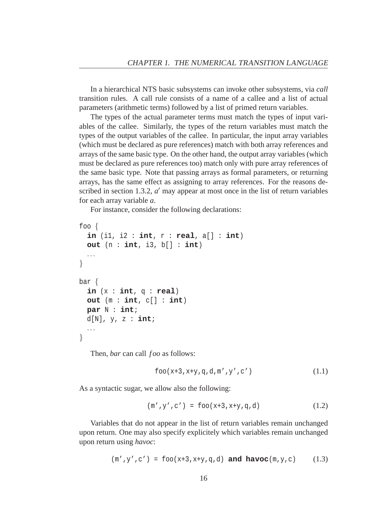In a hierarchical NTS basic subsystems can invoke other subsystems, via *call* transition rules. A call rule consists of a name of a callee and a list of actual parameters (arithmetic terms) followed by a list of primed return variables.

The types of the actual parameter terms must match the types of input variables of the callee. Similarly, the types of the return variables must match the types of the output variables of the callee. In particular, the input array variables (which must be declared as pure references) match with both array references and arrays of the same basic type. On the other hand, the output array variables (which must be declared as pure references too) match only with pure array references of the same basic type. Note that passing arrays as formal parameters, or returning arrays, has the same effect as assigning to array references. For the reasons described in section 1.3.2,  $a'$  may appear at most once in the list of return variables for each array variable *a*.

For instance, consider the following declarations:

```
foo {
  in (i1, i2 : int, r : real, a[] : int)
  out (n : int, i3, b[] : int)
  ...
}
bar {
  in (x : int, q : real)
  out (m : int, c[] : int)
 par N : int;
 d[N], y, z : int;
  ...
}
```
Then, *bar* can call *foo* as follows:

$$
foo(x+3, x+y, q, d, m', y', c')
$$
 (1.1)

As a syntactic sugar, we allow also the following:

$$
(\mathfrak{m}', y', c') = \text{foo}(x+3, x+y, q, d) \tag{1.2}
$$

Variables that do not appear in the list of return variables remain unchanged upon return. One may also specify explicitely which variables remain unchanged upon return using *havoc*:

$$
(\mathfrak{m}', y', c') = \text{foo}(x+3, x+y, q, d) \text{ and have } c(\mathfrak{m}, y, c) \tag{1.3}
$$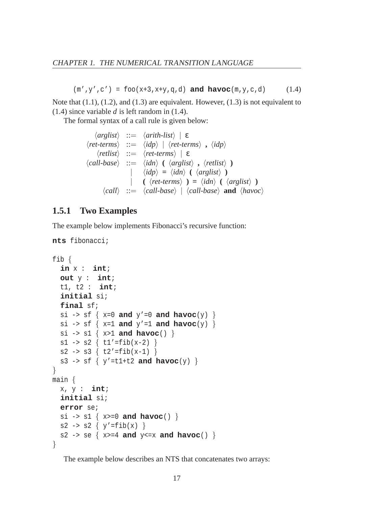$(m', y', c') = foo(x+3, x+y, q, d)$  **and havoc** $(m, y, c, d)$  (1.4)

Note that (1.1), (1.2), and (1.3) are equivalent. However, (1.3) is not equivalent to (1.4) since variable *d* is left random in (1.4).

The formal syntax of a call rule is given below:

$$
\langle arglist \rangle ::= \langle arith-list \rangle \mid \varepsilon
$$
  
\n
$$
\langle ret-terms \rangle ::= \langle idp \rangle \mid \langle ret-terms \rangle , \langle idp \rangle
$$
  
\n
$$
\langle rellist \rangle ::= \langle ret-terms \rangle \mid \varepsilon
$$
  
\n
$$
\langle call\text{-}base \rangle ::= \langle idn \rangle \mid (\langle arglist \rangle , \langle rellist \rangle )
$$
  
\n
$$
| \langle idp \rangle = \langle idn \rangle (\langle arglist \rangle )
$$
  
\n
$$
| \langle (ret\text{-}terms \rangle ) = \langle idn \rangle (\langle arglist \rangle )
$$
  
\n
$$
\langle call \rangle ::= \langle call\text{-}base \rangle \mid \langle call\text{-}base \rangle \text{ and } \langle havoc \rangle
$$

#### **1.5.1 Two Examples**

The example below implements Fibonacci's recursive function:

```
nts fibonacci;
```

```
fib {
  in x : int;
  out y : int;
  t1, t2 : int;
  initial si;
  final sf;
  si -> sf \{x=0 \text{ and } y'=0 \text{ and } \text{havoc}(y) \}si -> sf \{x=1 \text{ and } y'=1 \text{ and } \text{havoc}(y) \}si \rightarrow sl { x>1 and havoc() }
  s1 -> s2 \{ t1' = fib(x-2) \}s2 -> s3 \{ t2' = fib(x-1) \}s3 -> sf \{ y' = t1+t2 \text{ and } havoc(y) \}}
main {
  x, y : int;
  initial si;
  error se;
  si \rightarrow sl { x>=0 and havoc() }
  s2 -> s2 \{ y' = fib(x) \}s2 -> se { x>=4 and y<=x and havoc() }
}
```
The example below describes an NTS that concatenates two arrays: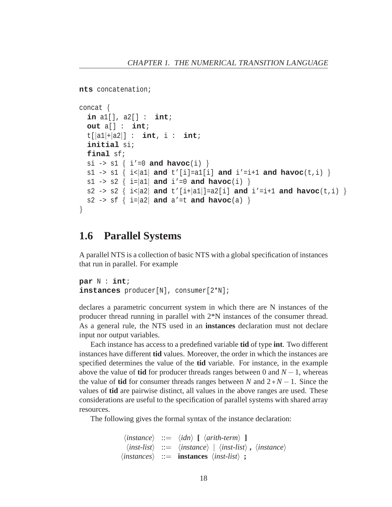```
nts concatenation;
concat {
  in a1[], a2[] : int;
  out a[] : int;
  t[|a1|+|a2|] : int, i : int;
  initial si;
  final sf;
  si \rightarrow sl { i'=0 and havoc(i) }
  s1 -> s1 { i< |a1| and t' [i] =a1[i] and i' =i+1 and havoc(t, i) }
  s1 -> s2 \{ i=|a1| \text{ and } i'=0 \text{ and } havoc(i) \}s2 -> s2 \{ i < |a2| \text{ and } t' [i + |a1|] = a2[i] \text{ and } i' = i + 1 \text{ and } h \text{avoc}(t, i) \}s2 -> sf \{ i=|a2| and a' =t and havoc(a) \}}
```
### **1.6 Parallel Systems**

A parallel NTS is a collection of basic NTS with a global specification of instances that run in parallel. For example

```
par N : int;
instances producer[N], consumer[2*N];
```
declares a parametric concurrent system in which there are N instances of the producer thread running in parallel with 2\*N instances of the consumer thread. As a general rule, the NTS used in an **instances** declaration must not declare input nor output variables.

Each instance has access to a predefined variable **tid** of type **int**. Two different instances have different **tid** values. Moreover, the order in which the instances are specified determines the value of the **tid** variable. For instance, in the example above the value of **tid** for producer threads ranges between 0 and  $N-1$ , whereas the value of **tid** for consumer threads ranges between *N* and  $2*N-1$ . Since the values of **tid** are pairwise distinct, all values in the above ranges are used. These considerations are useful to the specification of parallel systems with shared array resources.

The following gives the formal syntax of the instance declaration:

```
\langleinstance\rangle ::= \langleidn\rangle [ \langlearith-term\rangle ]
   \langleinst-list\rangle ::= \langleinstance\rangle | \langleinst-list\rangle, \langleinstance\rangle\langle instances \rangle ::= instances \langle inst-list \rangle ;
```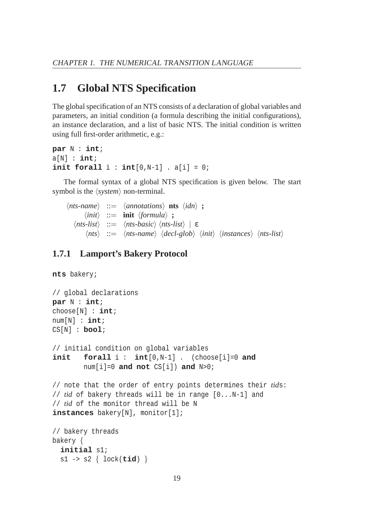# **1.7 Global NTS Specification**

The global specification of an NTS consists of a declaration of global variables and parameters, an initial condition (a formula describing the initial configurations), an instance declaration, and a list of basic NTS. The initial condition is written using full first-order arithmetic, e.g.:

```
par N : int;
a[N]: int;init forall i : int[0,N-1] . a[i] = 0;
```
The formal syntax of a global NTS specification is given below. The start symbol is the  $\langle system \rangle$  non-terminal.

 $\langle nts \text{-}name \rangle := \langle \text{annotations} \rangle$  **nts**  $\langle idn \rangle$  **;**  $\langle init \rangle$  ::= **init**  $\langle formula \rangle$  **;**  $\langle nts-list \rangle$  ::=  $\langle nts-basic \rangle$   $\langle nts-list \rangle$  | ε  $\langle nts \rangle$  ::=  $\langle nts \text{-}name \rangle$   $\langle decl\text{-}glob \rangle$   $\langle init \rangle$   $\langle instances \rangle$   $\langle nts\text{-}list \rangle$ 

#### **1.7.1 Lamport's Bakery Protocol**

**nts** bakery;

```
// global declarations
par N : int;
choose[N] : int;
num[N] : int;
CS[N] : bool;
// initial condition on global variables
init forall i : int[0,N-1] . (choose[i]=0 and
        num[i]=0 and not CS[i]) and N>0;
// note that the order of entry points determines their tids:
// tid of bakery threads will be in range [0...N-1] and
// tid of the monitor thread will be N
instances bakery[N], monitor[1];
// bakery threads
bakery {
  initial s1;
  s1 -> s2 { lock(tid) }
```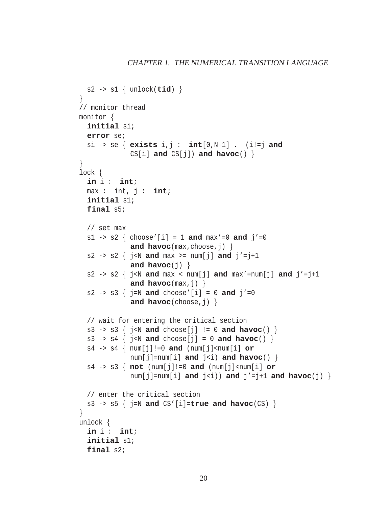```
s2 -> s1 { unlock(tid) }
}
// monitor thread
monitor {
  initial si;
  error se;
  si -> se { exists i,j : int[0,N-1] . (i!=j and
              CS[i] and CS[j]) and havoc() }
}
lock {
  in i : int;
  max : int, j : int;
  initial s1;
  final s5;
  // set max
  s1 -> s2 { choose'[i] = 1 and max' = 0 and j' = 0and havoc(max,choose,j) }
  s2 -> s2 \{ j < N \text{ and } \max \n> = \text{num}[j] \text{ and } j' = j+1 \}and havoc(j) \}s2 -> s2 \{ j < N \text{ and } \max < \text{num}[j] \text{ and } \max' = \text{num}[j] \text{ and } j' = j+1 \}and havoc(max,j) }
  s2 -> s3 \{ j=N and choose'[i] = 0 and j'=0
              and havoc(choose,j) }
  // wait for entering the critical section
  s3 -> s3 \{ j < N \text{ and choose}[j] \} = 0 and havoc() \}s3 -> s4 \{ j < N \text{ and choose}[j] = 0 \text{ and have}(i) \}s4 -> s4 { num[j]!=0 and (num[j]<num[i] or
              num[j]=num[i] and j<i>j</i> and havoc() }
  s4 -> s3 { not (num[j]!=0 and (num[j]<num[i] or
              num[j]=num[i] and j\langle i|) and j\langle i|+1 and havoc(j) \}// enter the critical section
  s3 -> s5 { j=N and CS'[i]=true and havoc(CS) }
}
unlock {
  in i : int;
  initial s1;
  final s2;
```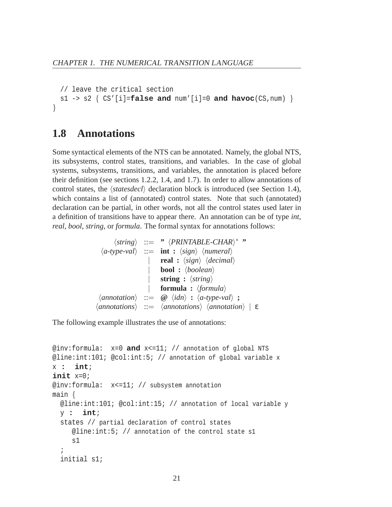```
// leave the critical section
 s1 -> s2 \{ CS'[i] = false and num'[i] = 0 and have(CS, num) }
}
```
### **1.8 Annotations**

Some syntactical elements of the NTS can be annotated. Namely, the global NTS, its subsystems, control states, transitions, and variables. In the case of global systems, subsystems, transitions, and variables, the annotation is placed before their definition (see sections 1.2.2, 1.4, and 1.7). In order to allow annotations of control states, the  $\langle$ *statesdecl* $\rangle$  declaration block is introduced (see Section 1.4), which contains a list of (annotated) control states. Note that such (annotated) declaration can be partial, in other words, not all the control states used later in a definition of transitions have to appear there. An annotation can be of type *int*, *real*, *bool*, *string*, or *formula*. The formal syntax for annotations follows:

```
\langlestring\rangle ::= " \langle PRINTABLE\text{-}CHAR\rangle^* "
  \langle a\text{-type-val}\rangle ::= int : \langle sign \rangle \langle numeral \ranglereal : \langle sign \rangle \langle decimal \rangle\text{bool} : \langle boolean \ranglestring : \langlestring\rangleformula : \langle formula \rangle\langleannotation\rangle ::= \omega \langleidn\rangle : \langlea-type-val\rangle ;
hannotationsi ::= hannotationsi hannotationi | ε
```
The following example illustrates the use of annotations:

```
@inv:formula: x=0 and x<=11; // annotation of global NTS
@line:int:101; @col:int:5; // annotation of global variable x
x : int;
init x=0;
@inv:formula: x<=11; // subsystem annotation
main {
  @line:int:101; @col:int:15; // annotation of local variable y
  y : int;
  states // partial declaration of control states
     @line:int:5; // annotation of the control state s1
     s1
  ;
  initial s1;
```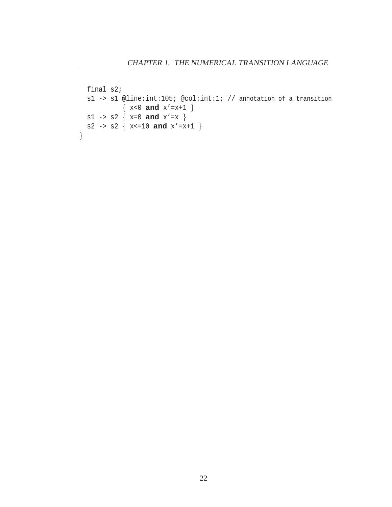```
final s2;
  s1 -> s1 @line:int:105; @col:int:1; // annotation of a transition
    { x<0 and x'=x+1 }
s1 \rightarrow s2 \{ x=0 \text{ and } x'=x \}s2 \rightarrow s2 { x < = 10 and x' = x + 1 }
}
```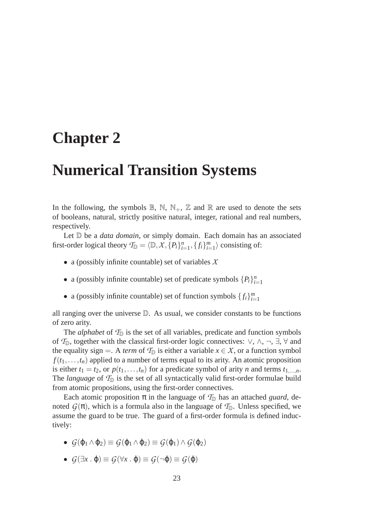# **Chapter 2**

# **Numerical Transition Systems**

In the following, the symbols  $\mathbb{B}$ ,  $\mathbb{N}$ ,  $\mathbb{N}_+$ ,  $\mathbb{Z}$  and  $\mathbb{R}$  are used to denote the sets of booleans, natural, strictly positive natural, integer, rational and real numbers, respectively.

Let  $\mathbb D$  be a *data domain*, or simply domain. Each domain has an associated first-order logical theory  $\mathcal{T}_{\mathbb{D}} = \langle \mathbb{D}, \mathcal{X}, \{P_i\}_{i=1}^n, \{f_i\}_{i=1}^m \rangle$  consisting of:

- a (possibly infinite countable) set of variables *X*
- a (possibly infinite countable) set of predicate symbols  $\{P_i\}_{i=1}^n$
- a (possibly infinite countable) set of function symbols  $\{f_i\}_{i=1}^m$

all ranging over the universe D. As usual, we consider constants to be functions of zero arity.

The *alphabet* of  $\mathcal{T}_{\mathbb{D}}$  is the set of all variables, predicate and function symbols of  $\mathcal{T}_{\mathbb{D}}$ , together with the classical first-order logic connectives:  $\vee$ ,  $\wedge$ ,  $\neg$ ,  $\exists$ ,  $\forall$  and the equality sign =. A *term* of  $\mathcal{T}_{\mathbb{D}}$  is either a variable  $x \in \mathcal{X}$ , or a function symbol  $f(t_1,...,t_n)$  applied to a number of terms equal to its arity. An atomic proposition is either  $t_1 = t_2$ , or  $p(t_1, \ldots, t_n)$  for a predicate symbol of arity *n* and terms  $t_1, \ldots, n$ . The *language* of  $T_{\mathbb{D}}$  is the set of all syntactically valid first-order formulae build from atomic propositions, using the first-order connectives.

Each atomic proposition  $\pi$  in the language of  $\mathcal{T}_{D}$  has an attached *guard*, denoted  $G(\pi)$ , which is a formula also in the language of  $\mathcal{T}_{\mathbb{D}}$ . Unless specified, we assume the guard to be true. The guard of a first-order formula is defined inductively:

- $\bullet$  *G*( $\phi$ <sub>1</sub> ∧  $\phi$ <sub>2</sub>)  $\equiv$  *G*( $\phi$ <sub>1</sub>)  $\land$  *G*( $\phi$ <sub>2</sub>)  $\equiv$  *G*( $\phi$ <sub>1</sub>)  $\land$  *G*( $\phi$ <sub>2</sub>)
- $\bullet$  *G*( $\exists$ *x* . **φ**)  $\equiv$  *G*( $\forall$ *x* . **φ**)  $\equiv$  *G*( $\sim$ **φ**)  $\equiv$  *G*( $\phi$ )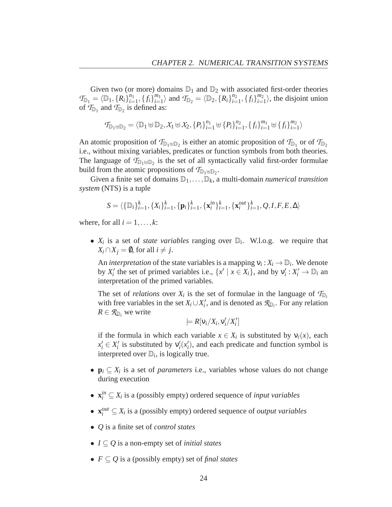Given two (or more) domains  $\mathbb{D}_1$  and  $\mathbb{D}_2$  with associated first-order theories  $\mathcal{T}_{\mathbb{D}_1} = \langle \mathbb{D}_1, \{R_i\}_{i=1}^{n_1}$  $\binom{n_1}{i=1}, \{f_i\}_{i=1}^{m_1}$  $\langle m_1 \atop n=1 \rangle$  and  $\langle T_{\mathbb{D}_2} \rangle = \langle \mathbb{D}_2, \{R_i\} \rangle_{i=1}^{n_2}$  $\binom{n_2}{i=1}, \{f_i\}_{i=1}^{m_2}$  $\binom{m_2}{i=1}$ , the disjoint union of  $T_{\mathbb{D}_1}$  and  $T_{\mathbb{D}_2}$  is defined as:

$$
\mathcal{T}_{\mathbb{D}_1 \uplus \mathbb{D}_2} = \langle \mathbb{D}_1 \uplus \mathbb{D}_2, \mathcal{X}_1 \uplus \mathcal{X}_2, \{P_i\}_{i=1}^{n_1} \uplus \{P_i\}_{i=1}^{n_2}, \{f_i\}_{i=1}^{m_1} \uplus \{f_i\}_{i=1}^{m_2}\rangle
$$

An atomic proposition of  $\mathcal{T}_{\mathbb{D}_1 \oplus \mathbb{D}_2}$  is either an atomic proposition of  $\mathcal{T}_{\mathbb{D}_1}$  or of  $\mathcal{T}_{\mathbb{D}_2}$ i.e., without mixing variables, predicates or function symbols from both theories. The language of  $T_{\mathbb{D}_1 \oplus \mathbb{D}_2}$  is the set of all syntactically valid first-order formulae build from the atomic propositions of  $T_{\mathbb{D}_1 \uplus \mathbb{D}_2}$ .

Given a finite set of domains  $\mathbb{D}_1,\ldots,\mathbb{D}_k$ , a multi-domain *numerical transition system* (NTS) is a tuple

$$
S = \langle \{\mathbb{D}_i\}_{i=1}^k, \{X_i\}_{i=1}^k, \{\mathbf{p}_i\}_{i=1}^k, \{\mathbf{x}_i^{in}\}_{i=1}^k, \{\mathbf{x}_i^{out}\}_{i=1}^k, Q, I, F, E, \Delta \rangle
$$

where, for all  $i = 1, \ldots, k$ :

•  $X_i$  is a set of *state variables* ranging over  $\mathbb{D}_i$ . W.l.o.g. we require that *X*<sup>*i*</sup> ∩ *X*<sup>*j*</sup> =  $\emptyset$ , for all *i*  $\neq$  *j*.

An *interpretation* of the state variables is a mapping  $v_i : X_i \to \mathbb{D}_i$ . We denote by  $X'_i$  the set of primed variables i.e.,  $\{x' \mid x \in X_i\}$ , and by  $v'_i : X'_i \to \mathbb{D}_i$  an interpretation of the primed variables.

The set of *relations* over  $X_i$  is the set of formulae in the language of  $T_{D_i}$ with free variables in the set  $X_i \cup X'_i$ , and is denoted as  $\mathcal{R}_{\mathbb{D}_i}$ . For any relation  $R \in \mathcal{R}_{\mathbb{D}_i}$  we write

$$
\models R[v_i/X_i, v'_i/X'_i]
$$

if the formula in which each variable  $x \in X_i$  is substituted by  $v_i(x)$ , each  $x_i' \in X_i'$  is substituted by  $v_i'(x_i')$ , and each predicate and function symbol is interpreted over  $\mathbb{D}_i$ , is logically true.

- $\mathbf{p}_i \subseteq X_i$  is a set of *parameters* i.e., variables whose values do not change during execution
- $\mathbf{x}_i^{in} \subseteq X_i$  is a (possibly empty) ordered sequence of *input variables*
- $\mathbf{x}_i^{out} \subseteq X_i$  is a (possibly empty) ordered sequence of *output variables*
- *Q* is a finite set of *control states*
- *I* ⊆ *Q* is a non-empty set of *initial states*
- *F* ⊆ *Q* is a (possibly empty) set of *final states*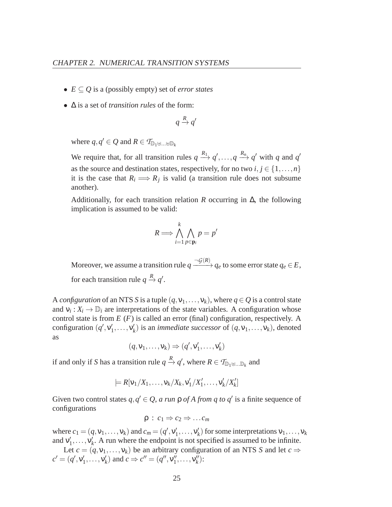- *E* ⊆ *Q* is a (possibly empty) set of *error states*
- ∆ is a set of *transition rules* of the form:

$$
q \xrightarrow{R} q'
$$

where  $q, q' \in Q$  and  $R \in \mathcal{T}_{\mathbb{D}_1 \uplus ... \uplus \mathbb{D}_k}$ 

We require that, for all transition rules  $q \stackrel{R_1}{\longrightarrow} q', \ldots, q \stackrel{R_n}{\longrightarrow} q'$  with *q* and *q'* as the source and destination states, respectively, for no two  $i, j \in \{1, ..., n\}$ it is the case that  $R_i \Longrightarrow R_j$  is valid (a transition rule does not subsume another).

Additionally, for each transition relation *R* occurring in ∆, the following implication is assumed to be valid:

$$
R \Longrightarrow \bigwedge_{i=1}^{k} \bigwedge_{p \in \mathbf{p}_i} p = p'
$$

Moreover, we assume a transition rule  $q \xrightarrow{\neg G(R)} q_e$  to some error state  $q_e \in E$ , for each transition rule  $q \stackrel{R}{\rightarrow} q'$ .

A *configuration* of an NTS *S* is a tuple  $(q, v_1, \ldots, v_k)$ , where  $q \in Q$  is a control state and  $v_i: X_i \to \mathbb{D}_i$  are interpretations of the state variables. A configuration whose control state is from *E* (*F*) is called an error (final) configuration, respectively. A configuration  $(q', v'_1, \ldots, v'_k)$  is an *immediate successor* of  $(q, v_1, \ldots, v_k)$ , denoted as

$$
(q, v_1, \ldots, v_k) \Rightarrow (q', v'_1, \ldots, v'_k)
$$

if and only if *S* has a transition rule  $q \stackrel{R}{\to} q'$ , where  $R \in \mathcal{T}_{\mathbb{D}_1 \uplus ... \mathbb{D}_k}$  and

$$
\models R[v_1/X_1,\ldots,v_k/X_k,v'_1/X'_1,\ldots,v'_k/X'_k]
$$

Given two control states  $q, q' \in Q$ , *a run*  $\rho$  *of A from q to q'* is a finite sequence of configurations

$$
\rho : c_1 \Rightarrow c_2 \Rightarrow \dots c_m
$$

where  $c_1 = (q, v_1, \ldots, v_k)$  and  $c_m = (q', v'_1, \ldots, v'_k)$  for some interpretations  $v_1, \ldots, v_k$ and  $v'_1, \ldots, v'_k$ . A run where the endpoint is not specified is assumed to be infinite.

Let  $c = (q, v_1, \ldots, v_k)$  be an arbitrary configuration of an NTS *S* and let  $c \Rightarrow$  $c' = (q', v'_1, \dots, v'_k)$  and  $c \Rightarrow c'' = (q'', v''_1, \dots, v''_k)$ :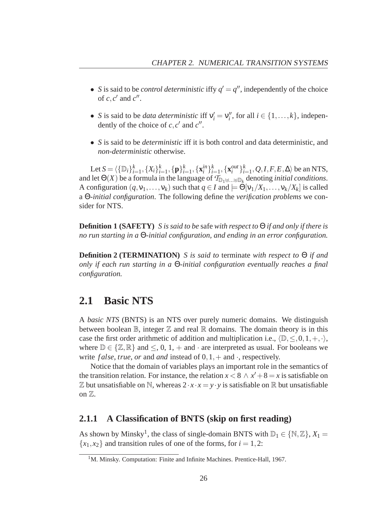- *S* is said to be *control deterministic* iffy  $q' = q''$ , independently of the choice of  $c, c'$  and  $c''$ .
- *S* is said to be *data deterministic* iff  $v'_i = v''_i$ , for all  $i \in \{1, ..., k\}$ , independently of the choice of  $c, c'$  and  $c''$ .
- *S* is said to be *deterministic* iff it is both control and data deterministic, and *non-deterministic* otherwise.

Let  $S = \langle {\{\mathbb{D}_i\}}_{i=1}^k, {\{X_i\}}_{i=1}^k, {\{\mathbf{p}\}}_{i=1}^k, {\{\mathbf{x}_i^{in}\}}_{i=1}^k, {\{\mathbf{x}_i^{out}\}}_{i=1}^k, Q, I, F, E, \Delta \rangle$  be an NTS, and let  $\Theta(X)$  be a formula in the language of  $\mathcal{T}_{\mathbb{D}_1 \uplus ... \uplus \mathbb{D}_k}$  denoting *initial conditions*. A configuration  $(q, v_1, \ldots, v_k)$  such that  $q \in I$  and  $\models \Theta[v_1/X_1, \ldots, v_k/X_k]$  is called a Θ*-initial configuration*. The following define the *verification problems* we consider for NTS.

**Definition 1 (SAFETY)** *S is said to be* safe *with respect to* Θ *if and only if there is no run starting in a* Θ*-initial configuration, and ending in an error configuration.*

**Definition 2 (TERMINATION)** *S is said to* terminate *with respect to* Θ *if and only if each run starting in a* Θ*-initial configuration eventually reaches a final configuration.*

## **2.1 Basic NTS**

A *basic NTS* (BNTS) is an NTS over purely numeric domains. We distinguish between boolean  $\mathbb{B}$ , integer  $\mathbb{Z}$  and real  $\mathbb{R}$  domains. The domain theory is in this case the first order arithmetic of addition and multiplication i.e.,  $\langle \mathbb{D}, \leq, 0, 1, +, \cdot \rangle$ , where  $\mathbb{D} \in \{ \mathbb{Z}, \mathbb{R} \}$  and  $\leq$ , 0, 1, + and  $\cdot$  are interpreted as usual. For booleans we write *false*, *true*, *or* and *and* instead of  $0, 1, +$  and  $\cdot$ , respectively.

Notice that the domain of variables plays an important role in the semantics of the transition relation. For instance, the relation  $x < 8 \land x' + 8 = x$  is satisfiable on  $\mathbb Z$  but unsatisfiable on N, whereas  $2 \cdot x \cdot x = y \cdot y$  is satisfiable on R but unsatisfiable on Z.

#### **2.1.1 A Classification of BNTS (skip on first reading)**

As shown by Minsky<sup>1</sup>, the class of single-domain BNTS with  $\mathbb{D}_1 \in \{ \mathbb{N}, \mathbb{Z} \}$ ,  $X_1 =$  ${x_1, x_2}$  and transition rules of one of the forms, for  $i = 1, 2$ :

<sup>&</sup>lt;sup>1</sup>M. Minsky. Computation: Finite and Infinite Machines. Prentice-Hall, 1967.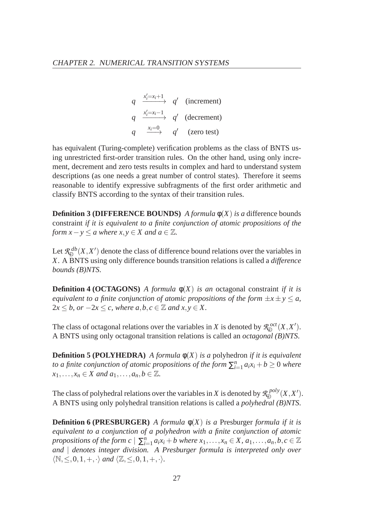$$
q \xrightarrow{\begin{array}{ccc} x'_i=x_i+1 & q' & (\text{increment}) \\ q & \xrightarrow{x'_i=x_i-1} & q' & (\text{decrement}) \\ q & \xrightarrow{x_i=0} & q' & (\text{zero test}) \end{array}
$$

has equivalent (Turing-complete) verification problems as the class of BNTS using unrestricted first-order transition rules. On the other hand, using only increment, decrement and zero tests results in complex and hard to understand system descriptions (as one needs a great number of control states). Therefore it seems reasonable to identify expressive subfragments of the first order arithmetic and classify BNTS according to the syntax of their transition rules.

**Definition 3 (DIFFERENCE BOUNDS)** *A formula*  $\phi(X)$  *is a* difference bounds constraint *if it is equivalent to a finite conjunction of atomic propositions of the form*  $x - y \le a$  *where*  $x, y \in X$  *and*  $a \in \mathbb{Z}$ *.* 

Let *R db*  $\mathcal{L}_{\mathbb{D}}^{ab}(X,X')$  denote the class of difference bound relations over the variables in *X*. A BNTS using only difference bounds transition relations is called a *difference bounds (B)NTS*.

**Definition 4 (OCTAGONS)** *A formula*  $\phi(X)$  *is an* octagonal constraint *if it is equivalent to a finite conjunction of atomic propositions of the form*  $\pm x \pm y \le a$ ,  $2x \leq b$ , or  $-2x \leq c$ , where  $a, b, c \in \mathbb{Z}$  and  $x, y \in X$ .

The class of octagonal relations over the variables in *X* is denoted by  $\mathcal{R}_{\mathbb{D}}^{oct}$  $\mathbb{D}^{oct}(X, X').$ A BNTS using only octagonal transition relations is called an *octagonal (B)NTS*.

**Definition 5 (POLYHEDRA)** *A formula*  $\phi(X)$  *is a polyhedron if it is equivalent to a finite conjunction of atomic propositions of the form*  $\sum_{i=1}^{n}a_ix_i+b\geq 0$  *where*  $x_1, \ldots, x_n \in X$  and  $a_1, \ldots, a_n, b \in \mathbb{Z}$ .

The class of polyhedral relations over the variables in *X* is denoted by  $\mathcal{R}_{\mathbb{D}}^{poly}$  $\mathbb{D}^{poly}(X, X').$ A BNTS using only polyhedral transition relations is called a *polyhedral (B)NTS*.

**Definition 6 (PRESBURGER)** *A formula*  $\phi(X)$  *is a* Presburger *formula if it is equivalent to a conjunction of a polyhedron with a finite conjunction of atomic propositions of the form c*  $| \sum_{i=1}^{n} a_i x_i + b$  where  $x_1, \ldots, x_n \in X$ ,  $a_1, \ldots, a_n, b, c \in \mathbb{Z}$ *and* | *denotes integer division. A Presburger formula is interpreted only over*  $\langle \mathbb{N}, \leq, 0, 1, +, \cdot \rangle$  *and*  $\langle \mathbb{Z}, \leq, 0, 1, +, \cdot \rangle$ *.*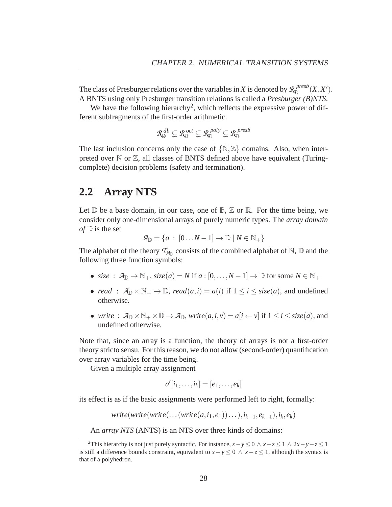The class of Presburger relations over the variables in *X* is denoted by  $\mathcal{R}_{\mathbb{D}}^{presb}$  $\mathbb{D}^{resb}(X,X').$ A BNTS using only Presburger transition relations is called a *Presburger (B)NTS*.

We have the following hierarchy<sup>2</sup>, which reflects the expressive power of different subfragments of the first-order arithmetic.

$$
\mathcal{R}_{\mathbb{D}}^{db} \subsetneq \mathcal{R}_{\mathbb{D}}^{oct} \subsetneq \mathcal{R}_{\mathbb{D}}^{poly} \subsetneq \mathcal{R}_{\mathbb{D}}^{presb}
$$

The last inclusion concerns only the case of  $\{N, \mathbb{Z}\}\$  domains. Also, when interpreted over  $\mathbb N$  or  $\mathbb Z$ , all classes of BNTS defined above have equivalent (Turingcomplete) decision problems (safety and termination).

### **2.2 Array NTS**

Let  $\mathbb D$  be a base domain, in our case, one of  $\mathbb B$ ,  $\mathbb Z$  or  $\mathbb R$ . For the time being, we consider only one-dimensional arrays of purely numeric types. The *array domain of*  $\mathbb{D}$  is the set

$$
\mathcal{A}_{\mathbb{D}} = \{a : [0...N-1] \to \mathbb{D} \mid N \in \mathbb{N}_+\}
$$

The alphabet of the theory  $\mathcal{T}_{A_{\mathbb{D}}}$  consists of the combined alphabet of  $\mathbb{N}, \mathbb{D}$  and the following three function symbols:

- *size* :  $\mathcal{A}_{\mathbb{D}} \to \mathbb{N}_+$ ,  $size(a) = N$  if  $a : [0, \ldots, N-1] \to \mathbb{D}$  for some  $N \in \mathbb{N}_+$
- *read* :  $\mathcal{A}_{\mathbb{D}} \times \mathbb{N}_+ \to \mathbb{D}$ , *read*(*a*,*i*) = *a*(*i*) if  $1 \le i \le \text{size}(a)$ , and undefined otherwise.
- *write* :  $\mathcal{A}_{\mathbb{D}} \times \mathbb{N}_+ \times \mathbb{D} \to \mathcal{A}_{\mathbb{D}}$ , *write* $(a, i, v) = a[i \leftarrow v]$  if  $1 \leq i \leq size(a)$ , and undefined otherwise.

Note that, since an array is a function, the theory of arrays is not a first-order theory stricto sensu. For this reason, we do not allow (second-order) quantification over array variables for the time being.

Given a multiple array assignment

$$
a'[i_1,\ldots,i_k]=[e_1,\ldots,e_k]
$$

its effect is as if the basic assignments were performed left to right, formally:

 $write(write(write(...(write(a,i_1, e_1))...), i_{k-1}, e_{k-1}), i_k, e_k)$ 

An *array NTS* (ANTS) is an NTS over three kinds of domains:

<sup>&</sup>lt;sup>2</sup>This hierarchy is not just purely syntactic. For instance,  $x - y \le 0 \land x - z \le 1 \land 2x - y - z \le 1$ is still a difference bounds constraint, equivalent to  $x - y \leq 0 \land x - z \leq 1$ , although the syntax is that of a polyhedron.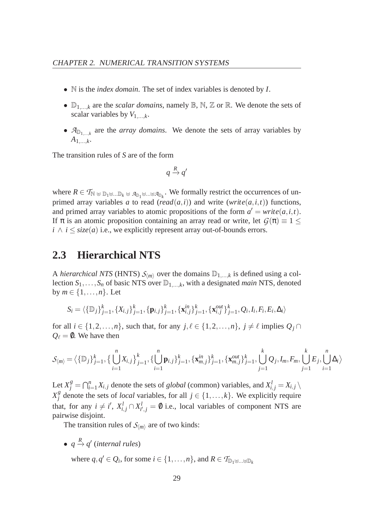- N is the *index domain*. The set of index variables is denoted by *I*.
- $\mathbb{D}_{1,\ldots,k}$  are the *scalar domains*, namely  $\mathbb{B}, \mathbb{N}, \mathbb{Z}$  or  $\mathbb{R}$ . We denote the sets of scalar variables by  $V_{1,\ldots,k}$ .
- $\mathcal{A}_{\mathbb{D}_{1,\dots,k}}$  are the *array domains*. We denote the sets of array variables by  $A_{1,\ldots,k}$ .

The transition rules of *S* are of the form

$$
q \xrightarrow{R} q'
$$

where  $R \in \mathcal{T}_{\mathbb{N}} \oplus \mathbb{D}_1 \oplus ... \oplus \mathbb{D}_k$   $\oplus \mathbb{A}_{\mathbb{D}_k}$ . We formally restrict the occurrences of unprimed array variables *a* to read (*read*( $a$ ,*i*)) and write (*write*( $a$ ,*i*,*t*)) functions, and primed array variables to atomic propositions of the form  $a' = write(a, i, t)$ . If  $\pi$  is an atomic proposition containing an array read or write, let  $G(\pi) \equiv 1 \leq$  $i \wedge i \leq size(a)$  i.e., we explicitly represent array out-of-bounds errors.

# **2.3 Hierarchical NTS**

A *hierarchical NTS* (HNTS)  $S_{\langle m \rangle}$  over the domains  $\mathbb{D}_{1,\dots,k}$  is defined using a collection  $S_1, \ldots, S_n$  of basic NTS over  $\mathbb{D}_{1,\ldots,k}$ , with a designated *main* NTS, denoted by  $m \in \{1, \ldots, n\}$ . Let

$$
S_i = \langle \{\mathbb{D}_j\}_{j=1}^k, \{X_{i,j}\}_{j=1}^k, \{\mathbf{p}_{i,j}\}_{j=1}^k, \{\mathbf{x}_{i,j}^{in}\}_{j=1}^k, \{\mathbf{x}_{i,j}^{out}\}_{j=1}^k, Q_i, I_i, F_i, E_i, \Delta_i \rangle
$$

for all  $i \in \{1, 2, ..., n\}$ , such that, for any  $j, \ell \in \{1, 2, ..., n\}$ ,  $j \neq \ell$  implies  $Q_j \cap$  $Q_{\ell} = \emptyset$ . We have then

$$
S_{\langle m \rangle} = \langle \{\mathbb{D}_j\}_{j=1}^k, \{\bigcup_{i=1}^n X_{i,j}\}_{j=1}^k, \{\bigcup_{i=1}^n \mathbf{p}_{i,j}\}_{j=1}^k, \{\mathbf{x}_{m,j}^{in}\}_{j=1}^k, \{\mathbf{x}_{m,j}^{out}\}_{j=1}^k, \bigcup_{j=1}^k Q_j, I_m, F_m, \bigcup_{j=1}^k E_j, \bigcup_{i=1}^n \Delta_i \rangle
$$

Let  $X_j^g = \bigcap_{i=1}^n X_{i,j}$  denote the sets of *global* (common) variables, and  $X_{i,j}^l = X_{i,j} \setminus \mathbb{R}$  $X_i^g$  $\beta$  denote the sets of *local* variables, for all  $j \in \{1, ..., k\}$ . We explicitly require that, for any  $i \neq i'$ ,  $X_{i,j}^l \cap X_{i'}^l$  $j'_{i',j} = \emptyset$  i.e., local variables of component NTS are pairwise disjoint.

The transition rules of  $S_{\langle m \rangle}$  are of two kinds:

•  $q \stackrel{R}{\rightarrow} q'$  (internal rules)

where  $q, q' \in Q_i$ , for some  $i \in \{1, ..., n\}$ , and  $R \in \mathcal{T}_{\mathbb{D}_1 \uplus ... \uplus \mathbb{D}_k}$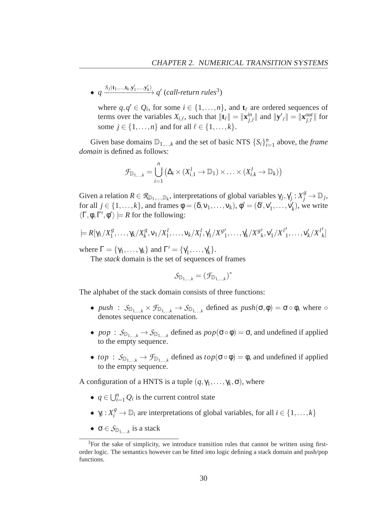$\bullet$  *q*  $\xrightarrow{S_j(\mathbf{t}_1,...,\mathbf{t}_k,\mathbf{y}'_1,...,\mathbf{y}'_k)}$  *q'* (*call-return rules*<sup>3</sup>)

where  $q, q' \in Q_i$ , for some  $i \in \{1, ..., n\}$ , and  $\mathbf{t}_{\ell}$  are ordered sequences of terms over the variables  $X_{i,\ell}$ , such that  $\|\mathbf{t}_{\ell}\| = \|\mathbf{x}_{j,\ell}^{in}\|$  and  $\|\mathbf{y}'_{\ell}\| = \|\mathbf{x}_{j,\ell}^{out}\|$  for some  $j \in \{1, ..., n\}$  and for all  $l \in \{1, ..., k\}$ .

Given base domains  $\mathbb{D}_{1,\dots,k}$  and the set of basic NTS  $\{S_i\}_{i=1}^n$  above, the *frame domain* is defined as follows:

$$
\mathcal{F}_{\mathbb{D}_{1,\ldots,k}} = \bigcup_{i=1}^{n} (\Delta_i \times (X_{i,1}^l \to \mathbb{D}_1) \times \ldots \times (X_{i,k}^l \to \mathbb{D}_k))
$$

Given a relation  $R \in \mathcal{R}_{\mathbb{D}_1,\dots,\mathbb{D}_k}$ , interpretations of global variables  $\gamma_j, \gamma_j : X_j^g \to \mathbb{D}_j$ , for all  $j \in \{1, ..., k\}$ , and frames  $\phi = (\delta, v_1, ..., v_k)$ ,  $\phi' = (\delta', v'_1, ..., v'_k)$ , we write  $\langle \Gamma, \phi, \Gamma', \phi' \rangle \models R$  for the following:

$$
\models R[\gamma_1/X_1^g,\ldots,\gamma_k/X_k^g,v_1/X_1^l,\ldots,v_k/X_l^l,\gamma_1/X_s^g',\ldots,\gamma_k/X_s^g',v_1'/X_l^l',\ldots,v_k'/X_l^l]
$$

where  $\Gamma = {\gamma_1, ..., \gamma_k}$  and  $\Gamma' = {\gamma'_1, ..., \gamma'_k}$ .

The *stack* domain is the set of sequences of frames

$$
\mathcal{S}_{\mathbb{D}_{1,\ldots,k}}=(\mathcal{F}_{\mathbb{D}_{1,\ldots,k}})^*
$$

The alphabet of the stack domain consists of three functions:

- *push* :  $S_{\mathbb{D}_{1,\dots,k}} \times \mathcal{F}_{\mathbb{D}_{1,\dots,k}} \to S_{\mathbb{D}_{1,\dots,k}}$  defined as  $push(\sigma, \phi) = \sigma \circ \phi$ , where  $\circ$ denotes sequence concatenation.
- *pop* :  $S_{\mathbb{D}_{1,\dots,k}} \to S_{\mathbb{D}_{1,\dots,k}}$  defined as  $pop(\sigma \circ \phi) = \sigma$ , and undefined if applied to the empty sequence.
- *top* :  $S_{\mathbb{D}_{1,\dots,k}} \to \mathcal{F}_{\mathbb{D}_{1,\dots,k}}$  defined as  $top(\sigma \circ \phi) = \phi$ , and undefined if applied to the empty sequence.

A configuration of a HNTS is a tuple  $(q, \gamma_1, \ldots, \gamma_k, \sigma)$ , where

- $q \in \bigcup_{i=1}^{n} Q_i$  is the current control state
- $\gamma_i: X_i^g \to \mathbb{D}_i$  are interpretations of global variables, for all  $i \in \{1, ..., k\}$
- $\sigma \in S_{\mathbb{D}_{1,\dots,k}}$  is a stack

 $3$ For the sake of simplicity, we introduce transition rules that cannot be written using firstorder logic. The semantics however can be fitted into logic defining a stack domain and push/pop functions.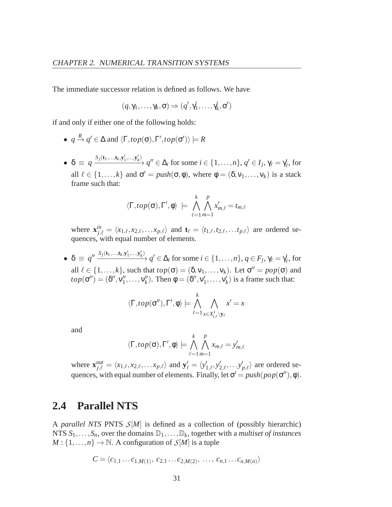The immediate successor relation is defined as follows. We have

$$
(q,\gamma_1,\ldots,\gamma_k,\sigma)\Rightarrow (q',\gamma_1',\ldots,\gamma_k',\sigma')
$$

if and only if either one of the following holds:

- $\bullet$  *q*  $\stackrel{R}{\to}$  *q'*  $\in \Delta$  and  $\langle \Gamma, top(\sigma), \Gamma', top(\sigma') \rangle \models R$
- $\bullet \ \delta \equiv q \xrightarrow{S_j(\mathbf{t}_1, \dots, \mathbf{t}_k, \mathbf{y}_1', \dots, \mathbf{y}_k')} q'' \in \Delta_i \text{ for some } i \in \{1, \dots, n\}, q' \in I_j, \gamma_\ell = \gamma_\ell'$  $'_{\ell}$ , for all  $\ell \in \{1, ..., k\}$  and  $\sigma' = push(\sigma, \phi)$ , where  $\phi = (\delta, v_1, ..., v_k)$  is a stack frame such that:

$$
\langle \Gamma, top(\sigma), \Gamma', \phi \rangle \ \models \ \bigwedge_{\ell=1}^k \bigwedge_{m=1}^p x'_{m,\ell} = t_{m,\ell}
$$

where  $\mathbf{x}_{j,\ell}^{in} = \langle x_{1,\ell}, x_{2,\ell}, \ldots, x_{p,\ell} \rangle$  and  $\mathbf{t}_{\ell} = \langle t_{1,\ell}, t_{2,\ell}, \ldots, t_{p,\ell} \rangle$  are ordered sequences, with equal number of elements.

 $\bullet$   $\delta \equiv q'' \xrightarrow{S_j(\mathbf{t}_1, ..., \mathbf{t}_k, \mathbf{y}'_1, ..., \mathbf{y}'_k)} q' \in \Delta_i$  for some  $i \in \{1, ..., n\}, q \in F_j, \gamma_\ell = \gamma'_\ell$  $\ell'$ , for all  $\ell \in \{1, ..., k\}$ , such that  $top(\sigma) = (\delta, v_1, ..., v_k)$ . Let  $\sigma'' = pop(\sigma)$  and  $top(\sigma'') = (\delta'', v''_1, \ldots, v''_k)$ . Then  $\phi = (\delta'', v'_1, \ldots, v'_k)$  is a frame such that:

$$
\langle \Gamma, top(\sigma''), \Gamma', \phi \rangle \models \bigwedge_{\ell=1}^k \bigwedge_{x \in X_{i,\ell}^l \setminus \mathbf{y}_{\ell}} x' = x
$$

and

$$
\langle \Gamma, top(\sigma), \Gamma', \phi \rangle \models \bigwedge_{\ell=1}^k \bigwedge_{m=1}^p x_{m,\ell} = y'_{m,\ell}
$$

where  $\mathbf{x}_{j,\ell}^{out} = \langle x_{1,\ell}, x_{2,\ell}, \ldots, x_{p,\ell} \rangle$  and  $\mathbf{y}'_{\ell} = \langle y'_{1,\ell}, y'_{2,\ell}, \ldots, y'_{p,\ell} \rangle$  are ordered sequences, with equal number of elements. Finally, let  $\sigma' = push(pop(\sigma''), \phi)$ .

### **2.4 Parallel NTS**

A *parallel NTS* PNTS *S*[*M*] is defined as a collection of (possibly hierarchic) NTS  $S_1, \ldots, S_n$ , over the domains  $\mathbb{D}_1, \ldots, \mathbb{D}_k$ , together with a *multiset of instances*  $M: \{1, \ldots, n\} \to \mathbb{N}$ . A configuration of  $\mathcal{S}[M]$  is a tuple

$$
C = \langle c_{1,1} \dots c_{1,M(1)}, c_{2,1} \dots c_{2,M(2)}, \dots, c_{n,1} \dots c_{n,M(n)} \rangle
$$